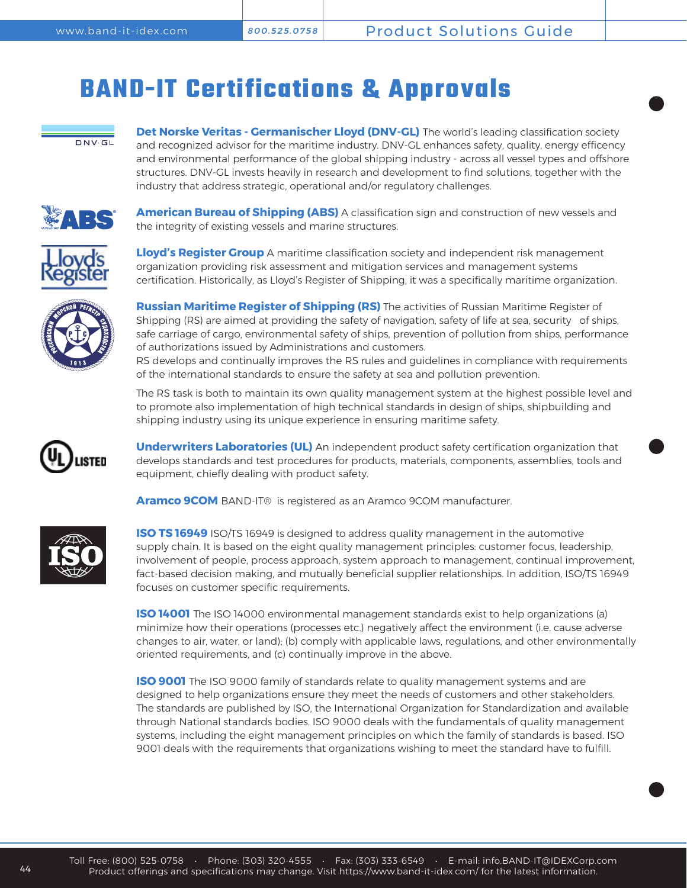## **BAND-IT Certifications & Approvals**



**Det Norske Veritas - Germanischer Lloyd (DNV-GL)** The world's leading classification society and recognized advisor for the maritime industry. DNV-GL enhances safety, quality, energy efficency and environmental performance of the global shipping industry - across all vessel types and offshore structures. DNV-GL invests heavily in research and development to find solutions, together with the industry that address strategic, operational and/or regulatory challenges.



**American Bureau of Shipping (ABS)** A classification sign and construction of new vessels and the integrity of existing vessels and marine structures.



**Lloyd's Register Group** A maritime classification society and independent risk management organization providing risk assessment and mitigation services and management systems certification. Historically, as Lloyd's Register of Shipping, it was a specifically maritime organization.



**Russian Maritime Register of Shipping (RS)** The activities of Russian Maritime Register of Shipping (RS) are aimed at providing the safety of navigation, safety of life at sea, security of ships, safe carriage of cargo, environmental safety of ships, prevention of pollution from ships, performance of authorizations issued by Administrations and customers.

RS develops and continually improves the RS rules and guidelines in compliance with requirements of the international standards to ensure the safety at sea and pollution prevention.

The RS task is both to maintain its own quality management system at the highest possible level and to promote also implementation of high technical standards in design of ships, shipbuilding and shipping industry using its unique experience in ensuring maritime safety.



**Underwriters Laboratories (UL)** An independent product safety certification organization that develops standards and test procedures for products, materials, components, assemblies, tools and equipment, chiefly dealing with product safety.

**Aramco 9COM** BAND-IT® is registered as an Aramco 9COM manufacturer.



**ISO TS 16949** ISO/TS 16949 is designed to address quality management in the automotive supply chain. It is based on the eight quality management principles: customer focus, leadership, involvement of people, process approach, system approach to management, continual improvement, fact-based decision making, and mutually beneficial supplier relationships. In addition, ISO/TS 16949 focuses on customer specific requirements.

**ISO 14001** The ISO 14000 environmental management standards exist to help organizations (a) minimize how their operations (processes etc.) negatively affect the environment (i.e. cause adverse changes to air, water, or land); (b) comply with applicable laws, regulations, and other environmentally oriented requirements, and (c) continually improve in the above.

**ISO 9001** The ISO 9000 family of standards relate to quality management systems and are designed to help organizations ensure they meet the needs of customers and other stakeholders. The standards are published by ISO, the International Organization for Standardization and available through National standards bodies. ISO 9000 deals with the fundamentals of quality management systems, including the eight management principles on which the family of standards is based. ISO 9001 deals with the requirements that organizations wishing to meet the standard have to fulfill.